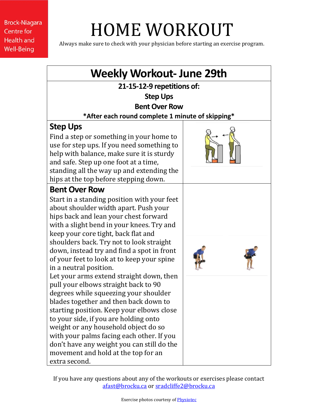**Brock-Niagara Centre for Health and Well-Being** 

## HOME WORKOUT

Always make sure to check with your physician before starting an exercise program.

| <b>Weekly Workout-June 29th</b>                                                                                                                                                                                                                                                                                                                                                                                                                     |  |
|-----------------------------------------------------------------------------------------------------------------------------------------------------------------------------------------------------------------------------------------------------------------------------------------------------------------------------------------------------------------------------------------------------------------------------------------------------|--|
| 21-15-12-9 repetitions of:                                                                                                                                                                                                                                                                                                                                                                                                                          |  |
| <b>Step Ups</b>                                                                                                                                                                                                                                                                                                                                                                                                                                     |  |
| <b>Bent Over Row</b>                                                                                                                                                                                                                                                                                                                                                                                                                                |  |
| *After each round complete 1 minute of skipping*                                                                                                                                                                                                                                                                                                                                                                                                    |  |
| <b>Step Ups</b>                                                                                                                                                                                                                                                                                                                                                                                                                                     |  |
| Find a step or something in your home to<br>use for step ups. If you need something to<br>help with balance, make sure it is sturdy<br>and safe. Step up one foot at a time,<br>standing all the way up and extending the<br>hips at the top before stepping down.                                                                                                                                                                                  |  |
| <b>Bent Over Row</b>                                                                                                                                                                                                                                                                                                                                                                                                                                |  |
| Start in a standing position with your feet<br>about shoulder width apart. Push your<br>hips back and lean your chest forward<br>with a slight bend in your knees. Try and<br>keep your core tight, back flat and<br>shoulders back. Try not to look straight<br>down, instead try and find a spot in front<br>of your feet to look at to keep your spine<br>in a neutral position.                                                                 |  |
| Let your arms extend straight down, then<br>pull your elbows straight back to 90<br>degrees while squeezing your shoulder<br>blades together and then back down to<br>starting position. Keep your elbows close<br>to your side, if you are holding onto<br>weight or any household object do so<br>with your palms facing each other. If you<br>don't have any weight you can still do the<br>movement and hold at the top for an<br>extra second. |  |

If you have any questions about any of the workouts or exercises please contact [afast@brocku.ca](mailto:afast@brocku.ca) or [sradcliffe2@brocku.ca](mailto:sradcliffe2@brocku.ca)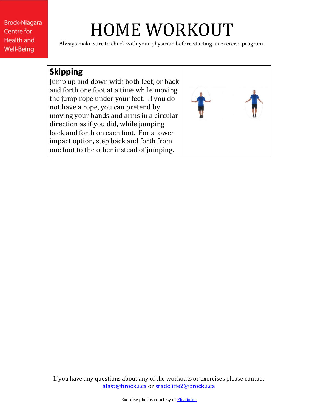**Brock-Niagara Centre for Health and Well-Being** 

## HOME WORKOUT

Always make sure to check with your physician before starting an exercise program.

## **Skipping**

Jump up and down with both feet, or back and forth one foot at a time while moving the jump rope under your feet. If you do not have a rope, you can pretend by moving your hands and arms in a circular direction as if you did, while jumping back and forth on each foot. For a lower impact option, step back and forth from one foot to the other instead of jumping.



If you have any questions about any of the workouts or exercises please contact [afast@brocku.ca](mailto:afast@brocku.ca) or [sradcliffe2@brocku.ca](mailto:sradcliffe2@brocku.ca)